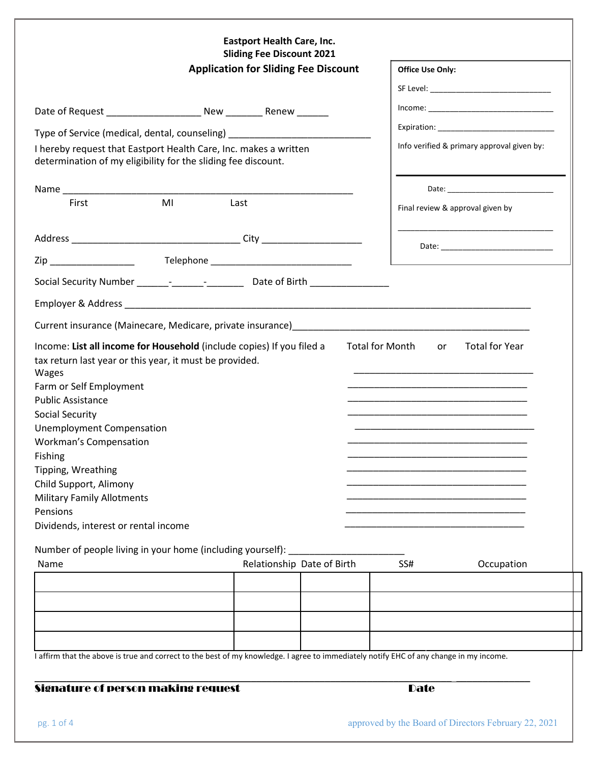|                                                                                                                                                                                                                                                                                                                                     | <b>Sliding Fee Discount 2021</b><br><b>Application for Sliding Fee Discount</b> |                                                                                                                                        |                                                                                           |  |
|-------------------------------------------------------------------------------------------------------------------------------------------------------------------------------------------------------------------------------------------------------------------------------------------------------------------------------------|---------------------------------------------------------------------------------|----------------------------------------------------------------------------------------------------------------------------------------|-------------------------------------------------------------------------------------------|--|
|                                                                                                                                                                                                                                                                                                                                     |                                                                                 |                                                                                                                                        |                                                                                           |  |
|                                                                                                                                                                                                                                                                                                                                     |                                                                                 |                                                                                                                                        |                                                                                           |  |
|                                                                                                                                                                                                                                                                                                                                     |                                                                                 | Type of Service (medical, dental, counseling) [198]                                                                                    |                                                                                           |  |
| I hereby request that Eastport Health Care, Inc. makes a written<br>determination of my eligibility for the sliding fee discount.                                                                                                                                                                                                   |                                                                                 |                                                                                                                                        | Info verified & primary approval given by:                                                |  |
|                                                                                                                                                                                                                                                                                                                                     |                                                                                 |                                                                                                                                        |                                                                                           |  |
| First                                                                                                                                                                                                                                                                                                                               | <b>MI</b>                                                                       | Last                                                                                                                                   | Final review & approval given by                                                          |  |
|                                                                                                                                                                                                                                                                                                                                     |                                                                                 |                                                                                                                                        |                                                                                           |  |
| Zip ____________________                                                                                                                                                                                                                                                                                                            |                                                                                 |                                                                                                                                        | the control of the control of the control of the control of the control of the control of |  |
|                                                                                                                                                                                                                                                                                                                                     |                                                                                 |                                                                                                                                        |                                                                                           |  |
|                                                                                                                                                                                                                                                                                                                                     |                                                                                 |                                                                                                                                        |                                                                                           |  |
|                                                                                                                                                                                                                                                                                                                                     |                                                                                 |                                                                                                                                        |                                                                                           |  |
| tax return last year or this year, it must be provided.                                                                                                                                                                                                                                                                             |                                                                                 | Income: List all income for Household (include copies) If you filed a                                                                  | <b>Total for Month</b><br><b>Total for Year</b><br>or                                     |  |
| Wages<br>Farm or Self Employment<br><b>Public Assistance</b><br><b>Social Security</b><br><b>Unemployment Compensation</b><br><b>Workman's Compensation</b><br><b>Fishing Example 2018</b><br>Tipping, Wreathing<br>Child Support, Alimony<br><b>Military Family Allotments</b><br>Pensions<br>Dividends, interest or rental income |                                                                                 |                                                                                                                                        |                                                                                           |  |
| Number of people living in your home (including yourself):<br>Name                                                                                                                                                                                                                                                                  |                                                                                 |                                                                                                                                        | SS#                                                                                       |  |
|                                                                                                                                                                                                                                                                                                                                     |                                                                                 | Relationship Date of Birth                                                                                                             | Occupation                                                                                |  |
|                                                                                                                                                                                                                                                                                                                                     |                                                                                 |                                                                                                                                        |                                                                                           |  |
|                                                                                                                                                                                                                                                                                                                                     |                                                                                 |                                                                                                                                        |                                                                                           |  |
|                                                                                                                                                                                                                                                                                                                                     |                                                                                 |                                                                                                                                        |                                                                                           |  |
|                                                                                                                                                                                                                                                                                                                                     |                                                                                 | I affirm that the above is true and correct to the best of my knowledge. I agree to immediately notify EHC of any change in my income. |                                                                                           |  |

pg. 1 of 4 approved by the Board of Directors February 22, 2021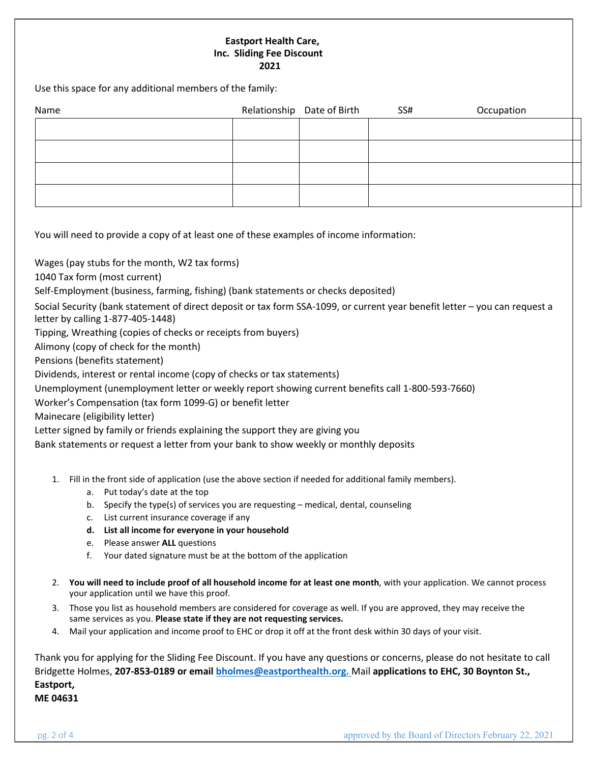## **Eastport Health Care, Inc. Sliding Fee Discount 2021**

Use this space for any additional members of the family:

| Name | Relationship Date of Birth | SS# | Occupation |
|------|----------------------------|-----|------------|
|      |                            |     |            |
|      |                            |     |            |
|      |                            |     |            |
|      |                            |     |            |

You will need to provide a copy of at least one of these examples of income information:

Wages (pay stubs for the month, W2 tax forms)

1040 Tax form (most current)

Self-Employment (business, farming, fishing) (bank statements or checks deposited)

Social Security (bank statement of direct deposit or tax form SSA-1099, or current year benefit letter – you can request a letter by calling 1-877-405-1448)

Tipping, Wreathing (copies of checks or receipts from buyers)

Alimony (copy of check for the month)

Pensions (benefits statement)

Dividends, interest or rental income (copy of checks or tax statements)

Unemployment (unemployment letter or weekly report showing current benefits call 1-800-593-7660)

Worker's Compensation (tax form 1099-G) or benefit letter

Mainecare (eligibility letter)

Letter signed by family or friends explaining the support they are giving you

Bank statements or request a letter from your bank to show weekly or monthly deposits

- 1. Fill in the front side of application (use the above section if needed for additional family members).
	- a. Put today's date at the top
	- b. Specify the type(s) of services you are requesting medical, dental, counseling
	- c. List current insurance coverage if any
	- **d. List all income for everyone in your household**
	- e. Please answer **ALL** questions
	- f. Your dated signature must be at the bottom of the application
- 2. **You will need to include proof of all household income for at least one month**, with your application. We cannot process your application until we have this proof.
- 3. Those you list as household members are considered for coverage as well. If you are approved, they may receive the same services as you. **Please state if they are not requesting services.**
- 4. Mail your application and income proof to EHC or drop it off at the front desk within 30 days of your visit.

Thank you for applying for the Sliding Fee Discount. If you have any questions or concerns, please do not hesitate to call Bridgette Holmes, **207-853-0189 or email [bholmes@eastporthealth.org.](mailto:bholmes@eastporthealth.org.)** Mail **applications to EHC, 30 Boynton St., Eastport, ME 04631**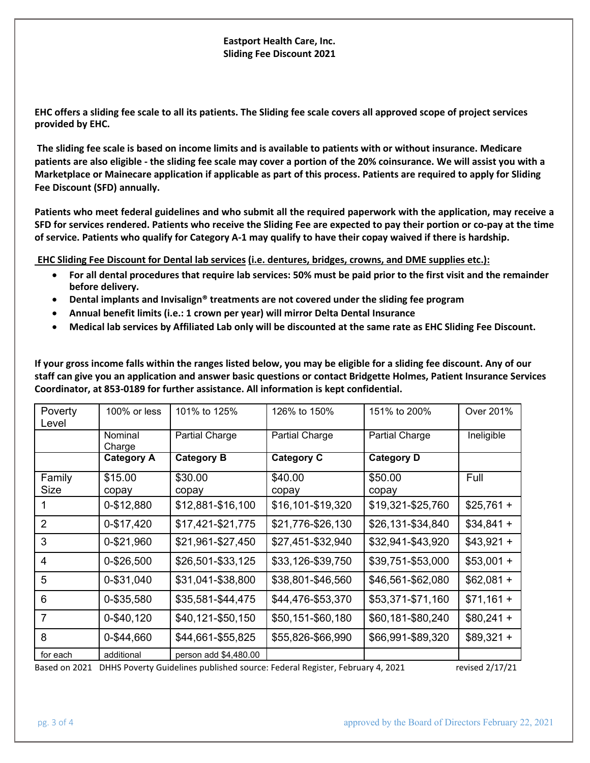## **Eastport Health Care, Inc. Sliding Fee Discount 2021**

**EHC offers a sliding fee scale to all its patients. The Sliding fee scale covers all approved scope of project services provided by EHC.**

**The sliding fee scale is based on income limits and is available to patients with or without insurance. Medicare patients are also eligible - the sliding fee scale may cover a portion of the 20% coinsurance. We will assist you with a Marketplace or Mainecare application if applicable as part of this process. Patients are required to apply for Sliding Fee Discount (SFD) annually.**

**Patients who meet federal guidelines and who submit all the required paperwork with the application, may receive a SFD for services rendered. Patients who receive the Sliding Fee are expected to pay their portion or co-pay at the time of service. Patients who qualify for Category A-1 may qualify to have their copay waived if there is hardship.**

**EHC Sliding Fee Discount for Dental lab services (i.e. dentures, bridges, crowns, and DME supplies etc.):**

- **For all dental procedures that require lab services: 50% must be paid prior to the first visit and the remainder before delivery.**
- **Dental implants and Invisalign® treatments are not covered under the sliding fee program**
- **Annual benefit limits (i.e.: 1 crown per year) will mirror Delta Dental Insurance**
- **Medical lab services by Affiliated Lab only will be discounted at the same rate as EHC Sliding Fee Discount.**

**If your gross income falls within the ranges listed below, you may be eligible for a sliding fee discount. Any of our staff can give you an application and answer basic questions or contact Bridgette Holmes, Patient Insurance Services Coordinator, at 853-0189 for further assistance. All information is kept confidential.**

| Poverty<br>Level | 100% or less      | 101% to 125%          | 126% to 150%      | 151% to 200%      | Over 201%   |
|------------------|-------------------|-----------------------|-------------------|-------------------|-------------|
|                  | Nominal<br>Charge | <b>Partial Charge</b> | Partial Charge    | Partial Charge    | Ineligible  |
|                  | <b>Category A</b> | <b>Category B</b>     | <b>Category C</b> | <b>Category D</b> |             |
| Family<br>Size   | \$15.00<br>copay  | \$30.00<br>copay      | \$40.00<br>copay  | \$50.00<br>copay  | Full        |
|                  | 0-\$12,880        | \$12,881-\$16,100     | \$16,101-\$19,320 | \$19,321-\$25,760 | $$25,761 +$ |
| 2                | 0-\$17,420        | \$17,421-\$21,775     | \$21,776-\$26,130 | \$26,131-\$34,840 | $$34,841 +$ |
| 3                | 0-\$21,960        | \$21,961-\$27,450     | \$27,451-\$32,940 | \$32,941-\$43,920 | $$43,921 +$ |
| 4                | 0-\$26,500        | \$26,501-\$33,125     | \$33,126-\$39,750 | \$39,751-\$53,000 | $$53,001 +$ |
| 5                | 0-\$31,040        | \$31,041-\$38,800     | \$38,801-\$46,560 | \$46,561-\$62,080 | $$62,081 +$ |
| 6                | 0-\$35,580        | \$35,581-\$44,475     | \$44,476-\$53,370 | \$53,371-\$71,160 | $$71,161 +$ |
| 7                | 0-\$40,120        | \$40,121-\$50,150     | \$50,151-\$60,180 | \$60,181-\$80,240 | $$80,241 +$ |
| 8                | 0-\$44,660        | \$44,661-\$55,825     | \$55,826-\$66,990 | \$66,991-\$89,320 | $$89,321 +$ |
| for each         | additional        | person add \$4,480.00 |                   |                   |             |

Based on 2021 DHHS Poverty Guidelines published source: Federal Register, February 4, 2021 revised 2/17/21